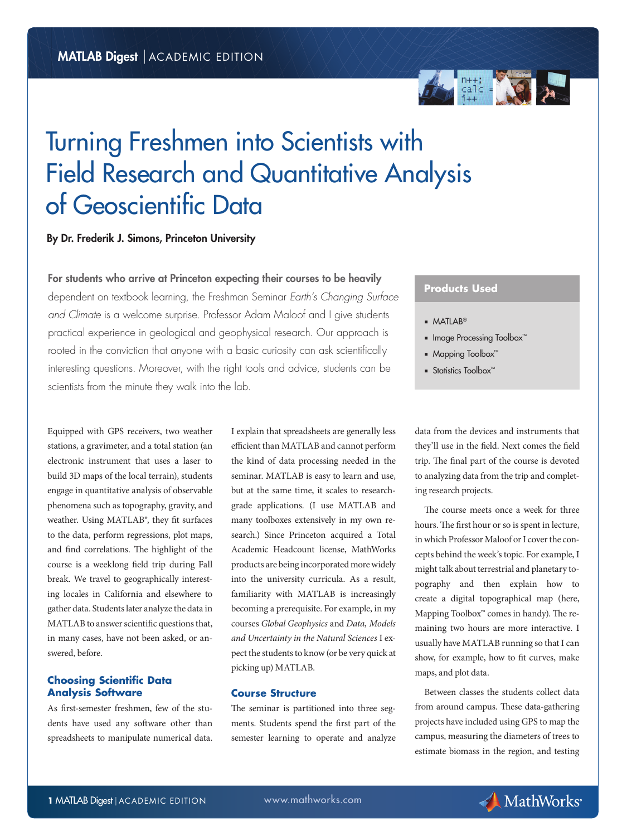

# Turning Freshmen into Scientists with Field Research and Quantitative Analysis of Geoscientific Data

# By Dr. Frederik J. Simons, Princeton University

For students who arrive at Princeton expecting their courses to be heavily

dependent on textbook learning, the Freshman Seminar *Earth's Changing Surface and Climate* is a welcome surprise. Professor Adam Maloof and I give students practical experience in geological and geophysical research. Our approach is rooted in the conviction that anyone with a basic curiosity can ask scientifically interesting questions. Moreover, with the right tools and advice, students can be scientists from the minute they walk into the lab.

Equipped with GPS receivers, two weather stations, a gravimeter, and a total station (an electronic instrument that uses a laser to build 3D maps of the local terrain), students engage in quantitative analysis of observable phenomena such as topography, gravity, and weather. Using MATLAB®, they fit surfaces to the data, perform regressions, plot maps, and find correlations. The highlight of the course is a weeklong field trip during Fall break. We travel to geographically interesting locales in California and elsewhere to gather data. Students later analyze the data in MATLAB to answer scientific questions that, in many cases, have not been asked, or answered, before.

## **Choosing Scientific Data Analysis Software**

As first-semester freshmen, few of the students have used any software other than spreadsheets to manipulate numerical data.

I explain that spreadsheets are generally less efficient than MATLAB and cannot perform the kind of data processing needed in the seminar. MATLAB is easy to learn and use, but at the same time, it scales to researchgrade applications. (I use MATLAB and many toolboxes extensively in my own research.) Since Princeton acquired a Total Academic Headcount license, MathWorks products are being incorporated more widely into the university curricula. As a result, familiarity with MATLAB is increasingly becoming a prerequisite. For example, in my courses *Global Geophysics* and *Data, Models and Uncertainty in the Natural Sciences* I expect the students to know (or be very quick at picking up) MATLAB.

#### **Course Structure**

The seminar is partitioned into three segments. Students spend the first part of the semester learning to operate and analyze

# **Products Used**

- MATLAB<sup>®</sup>
- Image Processing Toolbox™
- Mapping Toolbox™
- Statistics Toolbox<sup>™</sup>

data from the devices and instruments that they'll use in the field. Next comes the field trip. The final part of the course is devoted to analyzing data from the trip and completing research projects.

The course meets once a week for three hours. The first hour or so is spent in lecture, in which Professor Maloof or I cover the concepts behind the week's topic. For example, I might talk about terrestrial and planetary topography and then explain how to create a digital topographical map (here, Mapping Toolbox™ comes in handy). The remaining two hours are more interactive. I usually have MATLAB running so that I can show, for example, how to fit curves, make maps, and plot data.

Between classes the students collect data from around campus. These data-gathering projects have included using GPS to map the campus, measuring the diameters of trees to estimate biomass in the region, and testing

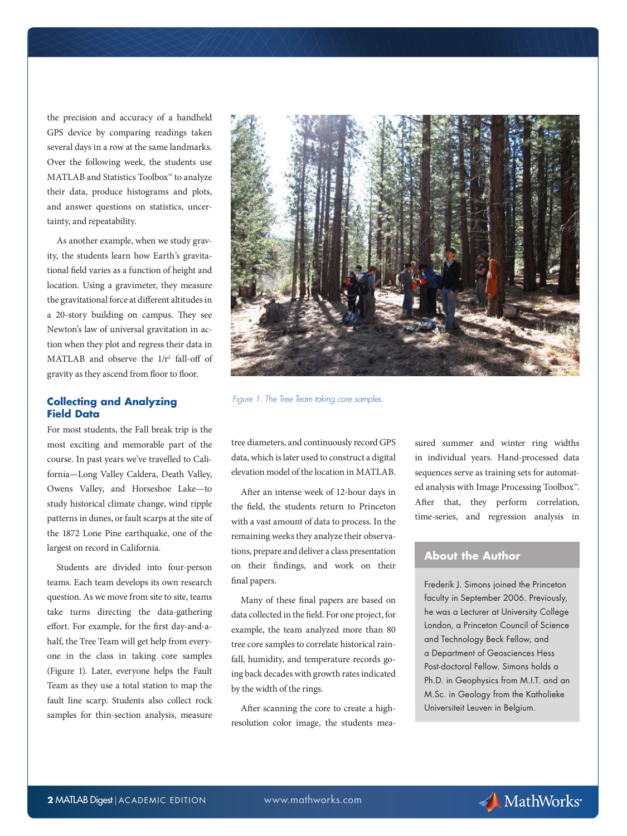the precision and accuracy of a handheld GPS device by comparing readings taken several days in a row at the same landmarks. Over the following week, the students use MATLAB and Statistics Toolbox™ to analyze their data, produce histograms and plots, and answer questions on statistics, uncertainty, and repeatability.

As another example, when we study gravity, the students learn how Earth's gravitational field varies as a function of height and location. Using a gravimeter, they measure the gravitational force at different altitudes in a 20-story building on campus. They see Newton's law of universal gravitation in action when they plot and regress their data in MATLAB and observe the  $1/r^2$  fall-off of gravity as they ascend from floor to floor.

#### **Collecting and Analyzing Field Data**

For most students, the Fall break trip is the most exciting and memorable part of the course. In past years we've travelled to California—Long Valley Caldera, Death Valley, Owens Valley, and Horseshoe Lake—to study historical climate change, wind ripple patterns in dunes, or fault scarps at the site of the 1872 Lone Pine earthquake, one of the largest on record in California.

Students are divided into four-person teams. Each team develops its own research question. As we move from site to site, teams take turns directing the data-gathering effort. For example, for the first day-and-ahalf, the Tree Team will get help from everyone in the class in taking core samples (Figure 1). Later, everyone helps the Fault Team as they use a total station to map the fault line scarp. Students also collect rock samples for thin-section analysis, measure



*Figure 1. The Tree Team taking core samples.*

tree diameters, and continuously record GPS data, which is later used to construct a digital elevation model of the location in MATLAB.

After an intense week of 12-hour days in the field, the students return to Princeton with a vast amount of data to process. In the remaining weeks they analyze their observations, prepare and deliver a class presentation on their findings, and work on their final papers.

Many of these final papers are based on data collected in the field. For one project, for example, the team analyzed more than 80 tree core samples to correlate historical rainfall, humidity, and temperature records going back decades with growth rates indicated by the width of the rings.

After scanning the core to create a highresolution color image, the students measured summer and winter ring widths in individual years. Hand-processed data sequences serve as training sets for automated analysis with Image Processing Toolbox™. After that, they perform correlation, time-series, and regression analysis in

## **About the Author**

Frederik J. Simons joined the Princeton faculty in September 2006. Previously, he was a Lecturer at University College London, a Princeton Council of Science and Technology Beck Fellow, and a Department of Geosciences Hess Post-doctoral Fellow. Simons holds a Ph.D. in Geophysics from M.I.T. and an M.Sc. in Geology from the Katholieke Universiteit Leuven in Belgium.